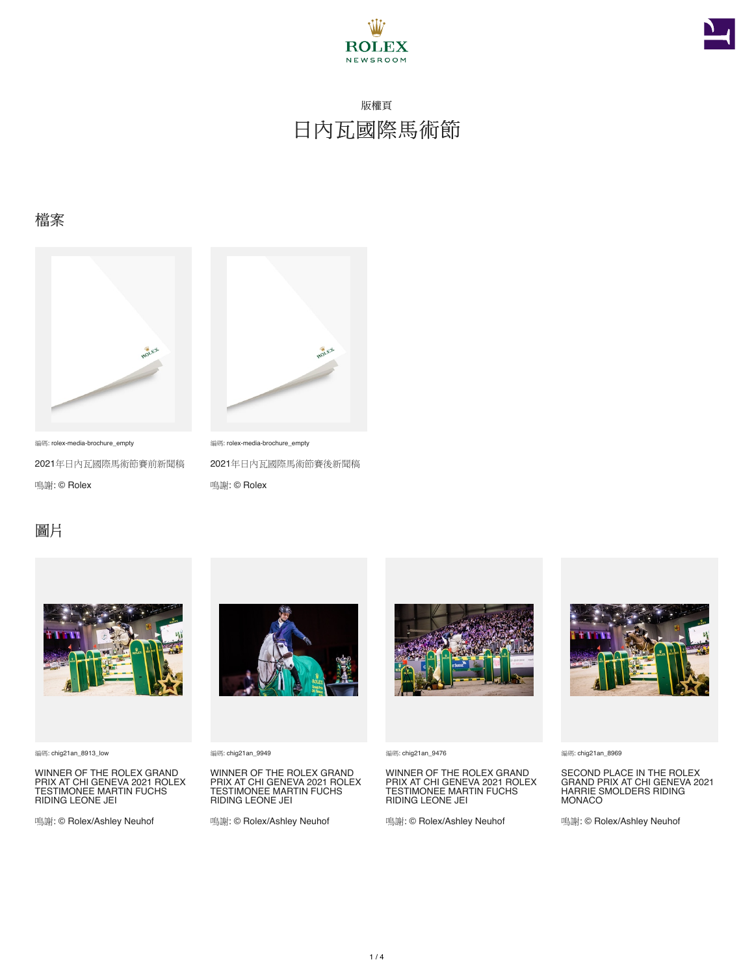



### 檔案



編碼: rolex-media-brochure\_empty

2021年日內瓦國際馬術節賽前新聞稿

鳴謝: © Rolex



編碼: rolex-media-brochure\_empty 2021年日內瓦國際馬術節賽後新聞稿 鳴謝: © Rolex

## 圖片



編碼: chig21an\_8913\_low

WINNER OF THE ROLEX GRAND<br>PRIX AT CHI GENEVA 2021 ROLEX<br>TESTIMONEE MARTIN FUCHS<br>RIDING LEONE JEI

鳴謝: © Rolex/Ashley Neuhof



編碼: chig21an\_9949

WINNER OF THE ROLEX GRAND<br>PRIX AT CHI GENEVA 2021 ROLEX<br>TESTIMONEE MARTIN FUCHS<br>RIDING LEONE JEI

鳴謝: © Rolex/Ashley Neuhof



編碼: chig21an\_9476

WINNER OF THE ROLEX GRAND<br>PRIX AT CHI GENEVA 2021 ROLEX<br>TESTIMONEE MARTIN FUCHS<br>RIDING LEONE JEI

鳴謝: © Rolex/Ashley Neuhof



#### 編碼: chig21an\_8969

SECOND PLACE IN THE ROLEX GRAND PRIX AT CHI GENEVA 2021 HARRIE SMOLDERS RIDING MONACO

鳴謝: © Rolex/Ashley Neuhof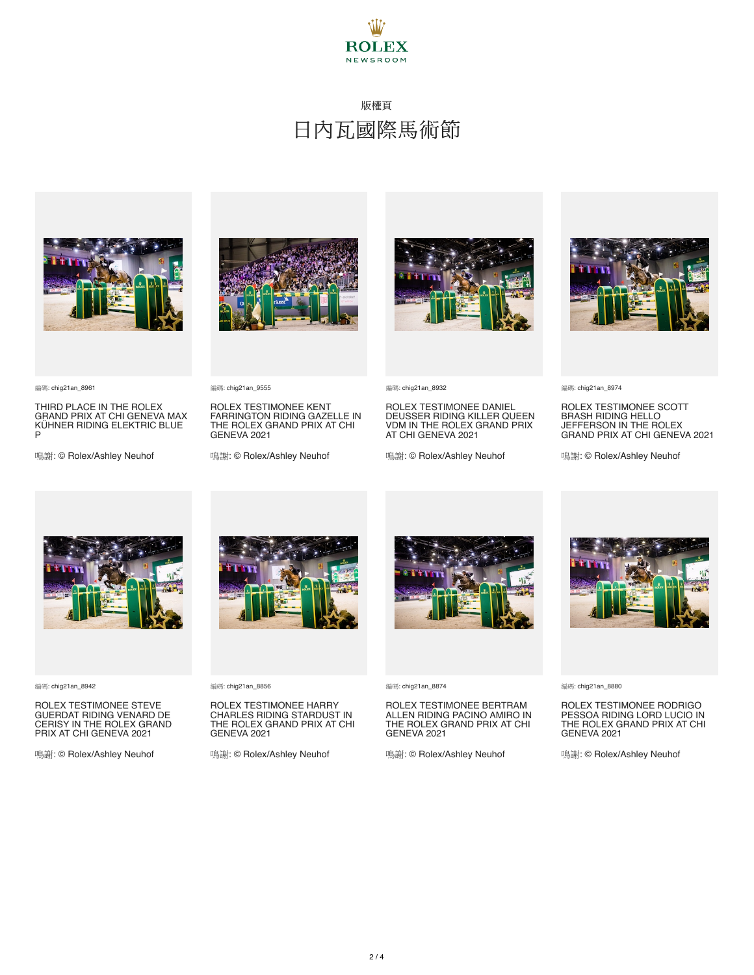



編碼: chig21an\_8961

THIRD PLACE IN THE ROLEX GRAND PRIX AT CHI GENEVA MAX KÜHNER RIDING ELEKTRIC BLUE P

鳴謝: © Rolex/Ashley Neuhof



ROLEX TESTIMONEE KENT FARRINGTON RIDING GAZELLE IN THE ROLEX GRAND PRIX AT CHI

鳴謝: © Rolex/Ashley Neuhof



編碼: chig21an\_8932

ROLEX TESTIMONEE DANIEL DEUSSER RIDING KILLER QUEEN VDM IN THE ROLEX GRAND PRIX AT CHI GENEVA 2021

鳴謝: © Rolex/Ashley Neuhof



編碼: chig21an\_8974

ROLEX TESTIMONEE SCOTT BRASH RIDING HELLO JEFFERSON IN THE ROLEX GRAND PRIX AT CHI GENEVA 2021

鳴謝: © Rolex/Ashley Neuhof



編碼: chig21an\_8942

ROLEX TESTIMONEE STEVE GUERDAT RIDING VENARD DE CERISY IN THE ROLEX GRAND PRIX AT CHI GENEVA 2021

鳴謝: © Rolex/Ashley Neuhof



編碼: chig21an\_8856

編碼: chig21an\_9555

GENEVA 2021

ROLEX TESTIMONEE HARRY CHARLES RIDING STARDUST IN THE ROLEX GRAND PRIX AT CHI GENEVA 2021

鳴謝: © Rolex/Ashley Neuhof



編碼: chig21an\_8874

ROLEX TESTIMONEE BERTRAM ALLEN RIDING PACINO AMIRO IN THE ROLEX GRAND PRIX AT CHI GENEVA 2021

鳴謝: © Rolex/Ashley Neuhof



編碼: chig21an\_8880

ROLEX TESTIMONEE RODRIGO PESSOA RIDING LORD LUCIO IN THE ROLEX GRAND PRIX AT CHI GENEVA 2021

鳴謝: © Rolex/Ashley Neuhof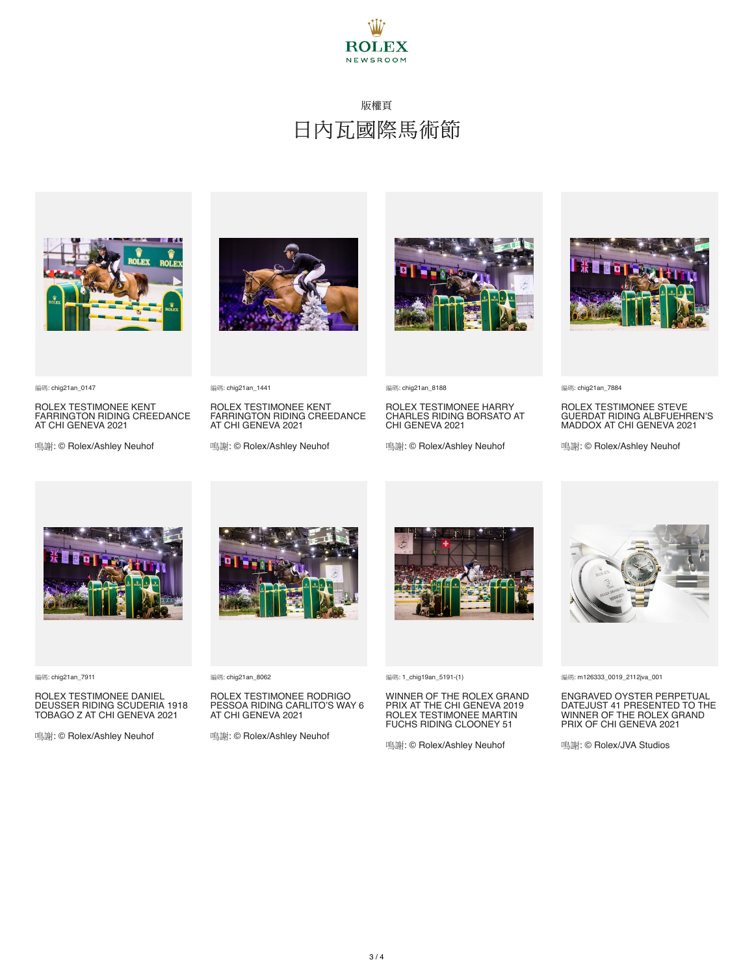



編碼: chig21an\_0147

ROLEX TESTIMONEE KENT FARRINGTON RIDING CREEDANCE AT CHI GENEVA 2021

鳴謝: © Rolex/Ashley Neuhof





ROLEX TESTIMONEE KENT FARRINGTON RIDING CREEDANCE AT CHI GENEVA 2021

鳴謝: © Rolex/Ashley Neuhof



編碼: chig21an\_8188

ROLEX TESTIMONEE HARRY CHARLES RIDING BORSATO AT CHI GENEVA 2021

鳴謝: © Rolex/Ashley Neuhof



編碼: chig21an\_7884

ROLEX TESTIMONEE STEVE GUERDAT RIDING ALBFUEHREN'S MADDOX AT CHI GENEVA 2021

鳴謝: © Rolex/Ashley Neuhof



編碼: chig21an\_7911

#### ROLEX TESTIMONEE DANIEL DEUSSER RIDING SCUDERIA 1918 TOBAGO Z AT CHI GENEVA 2021

鳴謝: © Rolex/Ashley Neuhof



編碼: chig21an\_8062

#### ROLEX TESTIMONEE RODRIGO PESSOA RIDING CARLITO'S WAY 6 AT CHI GENEVA 2021

鳴謝: © Rolex/Ashley Neuhof



編碼: 1\_chig19an\_5191-(1)

## WINNER OF THE ROLEX GRAND PRIX AT THE CHI GENEVA 2019 ROLEX TESTIMONEE MARTIN FUCHS RIDING CLOONEY 51

鳴謝: © Rolex/Ashley Neuhof



編碼: m126333\_0019\_2112jva\_001

# ENGRAVED OYSTER PERPETUAL DATEJUST 41 PRESENTED TO THE WINNER OF THE ROLEX GRAND PRIX OF CHI GENEVA 2021

鳴謝: © Rolex/JVA Studios